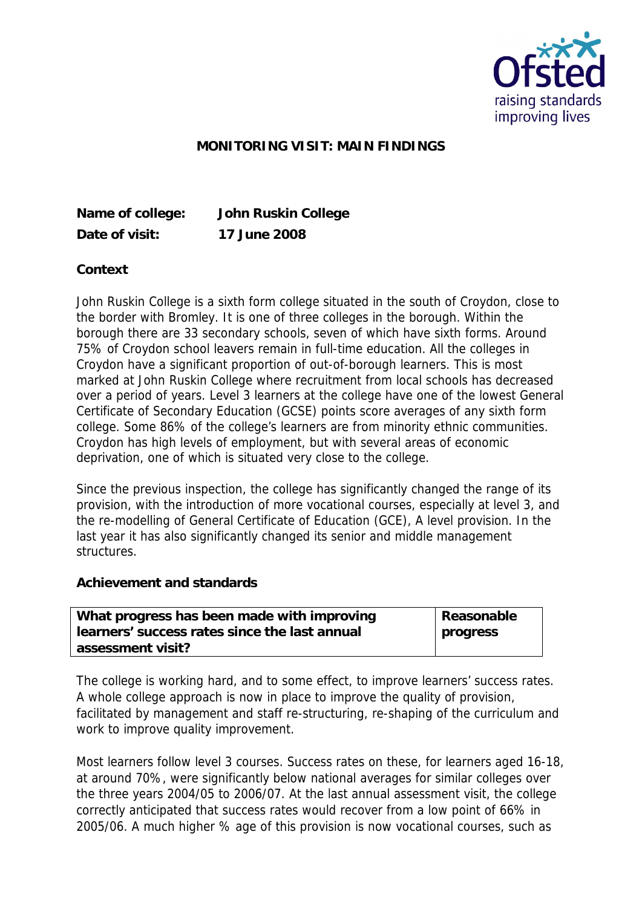

## **MONITORING VISIT: MAIN FINDINGS**

**Date of visit: 17 June 2008**

**Name of college: John Ruskin College**

**Context**

John Ruskin College is a sixth form college situated in the south of Croydon, close to the border with Bromley. It is one of three colleges in the borough. Within the borough there are 33 secondary schools, seven of which have sixth forms. Around 75% of Croydon school leavers remain in full-time education. All the colleges in Croydon have a significant proportion of out-of-borough learners. This is most marked at John Ruskin College where recruitment from local schools has decreased over a period of years. Level 3 learners at the college have one of the lowest General Certificate of Secondary Education (GCSE) points score averages of any sixth form college. Some 86% of the college's learners are from minority ethnic communities. Croydon has high levels of employment, but with several areas of economic deprivation, one of which is situated very close to the college.

Since the previous inspection, the college has significantly changed the range of its provision, with the introduction of more vocational courses, especially at level 3, and the re-modelling of General Certificate of Education (GCE), A level provision. In the last year it has also significantly changed its senior and middle management structures.

**Achievement and standards** 

| What progress has been made with improving    | Reasonable      |
|-----------------------------------------------|-----------------|
| learners' success rates since the last annual | <b>progress</b> |
| assessment visit?                             |                 |

The college is working hard, and to some effect, to improve learners' success rates. A whole college approach is now in place to improve the quality of provision, facilitated by management and staff re-structuring, re-shaping of the curriculum and work to improve quality improvement.

Most learners follow level 3 courses. Success rates on these, for learners aged 16-18, at around 70%, were significantly below national averages for similar colleges over the three years 2004/05 to 2006/07. At the last annual assessment visit, the college correctly anticipated that success rates would recover from a low point of 66% in 2005/06. A much higher % age of this provision is now vocational courses, such as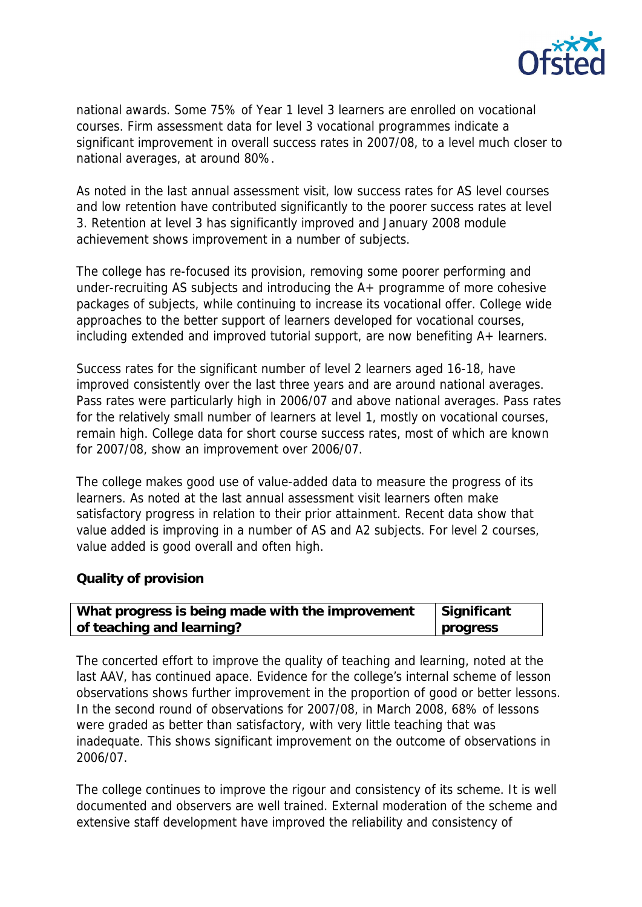

national awards. Some 75% of Year 1 level 3 learners are enrolled on vocational courses. Firm assessment data for level 3 vocational programmes indicate a significant improvement in overall success rates in 2007/08, to a level much closer to national averages, at around 80%.

As noted in the last annual assessment visit, low success rates for AS level courses and low retention have contributed significantly to the poorer success rates at level 3. Retention at level 3 has significantly improved and January 2008 module achievement shows improvement in a number of subjects.

The college has re-focused its provision, removing some poorer performing and under-recruiting AS subjects and introducing the A+ programme of more cohesive packages of subjects, while continuing to increase its vocational offer. College wide approaches to the better support of learners developed for vocational courses, including extended and improved tutorial support, are now benefiting A+ learners.

Success rates for the significant number of level 2 learners aged 16-18, have improved consistently over the last three years and are around national averages. Pass rates were particularly high in 2006/07 and above national averages. Pass rates for the relatively small number of learners at level 1, mostly on vocational courses, remain high. College data for short course success rates, most of which are known for 2007/08, show an improvement over 2006/07.

The college makes good use of value-added data to measure the progress of its learners. As noted at the last annual assessment visit learners often make satisfactory progress in relation to their prior attainment. Recent data show that value added is improving in a number of AS and A2 subjects. For level 2 courses, value added is good overall and often high.

## **Quality of provision**

| What progress is being made with the improvement | Significant |
|--------------------------------------------------|-------------|
| of teaching and learning?                        | progress    |

The concerted effort to improve the quality of teaching and learning, noted at the last AAV, has continued apace. Evidence for the college's internal scheme of lesson observations shows further improvement in the proportion of good or better lessons. In the second round of observations for 2007/08, in March 2008, 68% of lessons were graded as better than satisfactory, with very little teaching that was inadequate. This shows significant improvement on the outcome of observations in 2006/07.

The college continues to improve the rigour and consistency of its scheme. It is well documented and observers are well trained. External moderation of the scheme and extensive staff development have improved the reliability and consistency of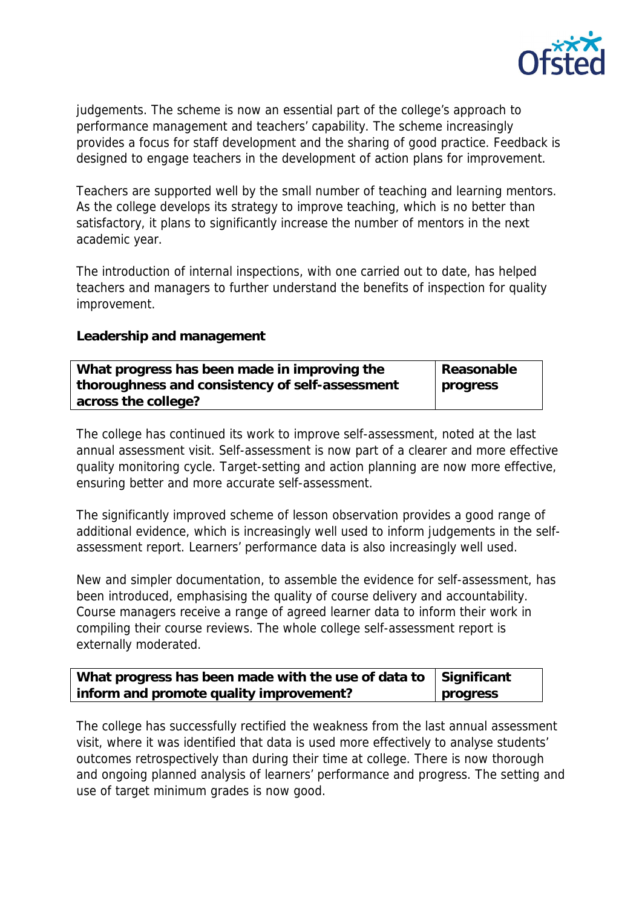

judgements. The scheme is now an essential part of the college's approach to performance management and teachers' capability. The scheme increasingly provides a focus for staff development and the sharing of good practice. Feedback is designed to engage teachers in the development of action plans for improvement.

Teachers are supported well by the small number of teaching and learning mentors. As the college develops its strategy to improve teaching, which is no better than satisfactory, it plans to significantly increase the number of mentors in the next academic year.

The introduction of internal inspections, with one carried out to date, has helped teachers and managers to further understand the benefits of inspection for quality improvement.

**Leadership and management**

| What progress has been made in improving the    | Reasonable |
|-------------------------------------------------|------------|
| thoroughness and consistency of self-assessment | progress   |
| across the college?                             |            |

The college has continued its work to improve self-assessment, noted at the last annual assessment visit. Self-assessment is now part of a clearer and more effective quality monitoring cycle. Target-setting and action planning are now more effective, ensuring better and more accurate self-assessment.

The significantly improved scheme of lesson observation provides a good range of additional evidence, which is increasingly well used to inform judgements in the selfassessment report. Learners' performance data is also increasingly well used.

New and simpler documentation, to assemble the evidence for self-assessment, has been introduced, emphasising the quality of course delivery and accountability. Course managers receive a range of agreed learner data to inform their work in compiling their course reviews. The whole college self-assessment report is externally moderated.

| What progress has been made with the use of data to $\vert$ Significant |          |
|-------------------------------------------------------------------------|----------|
| inform and promote quality improvement?                                 | progress |

The college has successfully rectified the weakness from the last annual assessment visit, where it was identified that data is used more effectively to analyse students' outcomes retrospectively than during their time at college. There is now thorough and ongoing planned analysis of learners' performance and progress. The setting and use of target minimum grades is now good.